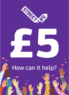

# E 5 5 How can it help?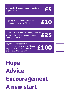will pay for transport to an important  $\boldsymbol{\epsilon}$ 5

buys Pyjamas and underwear for<br>a young person in the Shelter **E** 10 a young person in the Shelter

provides a safe night in the nightshelter with a hot meal, for a young person fleeing violence

£25

£100

pays for the transportation to take a group of ten up to the Lake District to get away from their problems and do something exciting

Hope Advice Encouragement A new start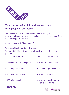

# **We are always grateful for donations from local people or businesses.**

Your generosity helps to achieve our goal ensuring that disadvantaged and vulnerable young people in the local area get the help and support they need.

Can you spare just £5 per month?

# **Your donation helps Streetlife to .....**

Support 350 different young people each year and it helps us provide........

- 500 counselling sessions 50 cook and eat workshops
- Weekly Duke of Edinburgh sessions 1000 1:1 support sessions
- 
- 50 Christmas Hampers 300 food parcels
- 
- 200 drop in sessions 2920 emergency bed spaces
	-
- 300 toiletry packs 100 starter packs for flats (kettle, toaster etc)





# *Thank you*